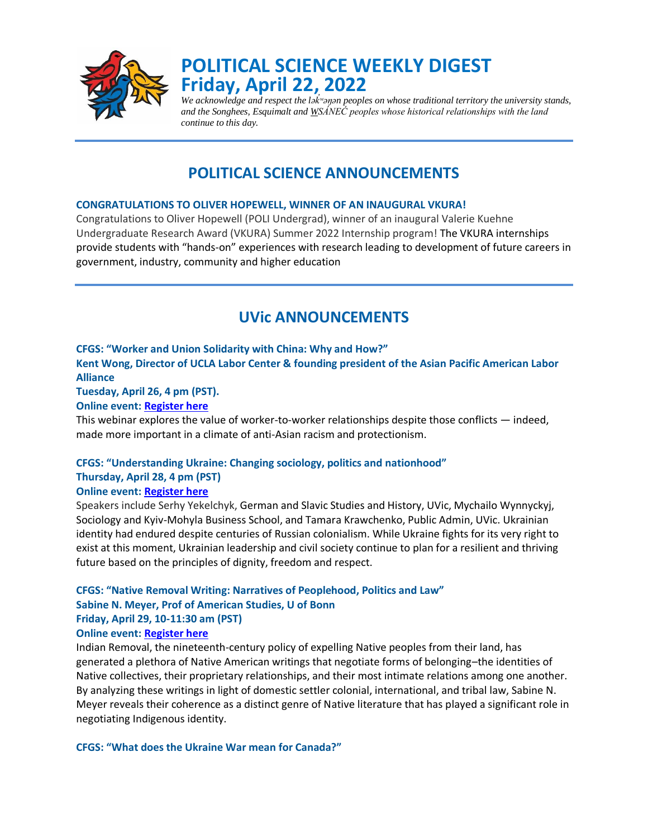

# **POLITICAL SCIENCE WEEKLY DIGEST Friday, April 22, 2022**

*We acknowledge and respect the lək ʷəŋən peoples on whose traditional territory the university stands, ̓ and the Songhees, Esquimalt and WSÁNEĆ peoples whose historical relationships with the land continue to this day.*

## **POLITICAL SCIENCE ANNOUNCEMENTS**

### **CONGRATULATIONS TO OLIVER HOPEWELL, WINNER OF AN INAUGURAL VKURA!**

Congratulations to Oliver Hopewell (POLI Undergrad), winner of an inaugural Valerie Kuehne Undergraduate Research Award (VKURA) Summer 2022 Internship program! The VKURA internships provide students with "hands-on" experiences with research leading to development of future careers in government, industry, community and higher education

## **UVic ANNOUNCEMENTS**

### **CFGS: "Worker and Union Solidarity with China: Why and How?"**

**Kent Wong, Director of UCLA Labor Center & founding president of the Asian Pacific American Labor Alliance**

**Tuesday, April 26, 4 pm (PST).** 

### **Online event: [Register here](https://events.uvic.ca/global/event/65842-worker-and-union-solidarity-with-china-why-and-how)**

This webinar explores the value of worker-to-worker relationships despite those conflicts — indeed, made more important in a climate of anti-Asian racism and protectionism.

## **CFGS: "Understanding Ukraine: Changing sociology, politics and nationhood" Thursday, April 28, 4 pm (PST)**

## **Online event: [Register here](https://events.uvic.ca/event/65841-understanding-ukraine-changing-ukrainian-sociology)**

Speakers include Serhy Yekelchyk, German and Slavic Studies and History, UVic, Mychailo Wynnyckyj, Sociology and Kyiv-Mohyla Business School, and Tamara Krawchenko, Public Admin, UVic. Ukrainian identity had endured despite centuries of Russian colonialism. While Ukraine fights for its very right to exist at this moment, Ukrainian leadership and civil society continue to plan for a resilient and thriving future based on the principles of dignity, freedom and respect.

## **CFGS: "Native Removal Writing: Narratives of Peoplehood, Politics and Law" Sabine N. Meyer, Prof of American Studies, U of Bonn Friday, April 29, 10-11:30 am (PST)**

#### **Online event: [Register here](https://events.uvic.ca/event/65673-native-removal-writing-narratives-of-peoplehood)**

Indian Removal, the nineteenth-century policy of expelling Native peoples from their land, has generated a plethora of Native American writings that negotiate forms of belonging–the identities of Native collectives, their proprietary relationships, and their most intimate relations among one another. By analyzing these writings in light of domestic settler colonial, international, and tribal law, Sabine N. Meyer reveals their coherence as a distinct genre of Native literature that has played a significant role in negotiating Indigenous identity.

**CFGS: "What does the Ukraine War mean for Canada?"**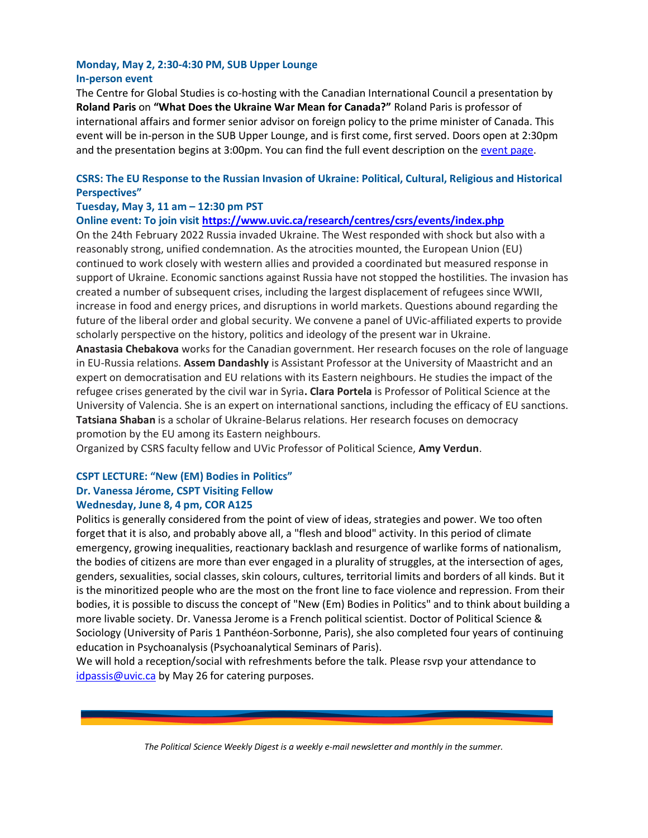## **Monday, May 2, 2:30-4:30 PM, SUB Upper Lounge In-person event**

The Centre for Global Studies is co-hosting with the Canadian International Council a presentation by **Roland Paris** on **"What Does the Ukraine War Mean for Canada?"** Roland Paris is professor of international affairs and former senior advisor on foreign policy to the prime minister of Canada. This event will be in-person in the SUB Upper Lounge, and is first come, first served. Doors open at 2:30pm and the presentation begins at 3:00pm. You can find the full event description on the [event page.](https://events.uvic.ca/global/event/66235-1)

## **CSRS: The EU Response to the Russian Invasion of Ukraine: Political, Cultural, Religious and Historical Perspectives"**

## **Tuesday, May 3, 11 am – 12:30 pm PST**

**Online event: To join visit<https://www.uvic.ca/research/centres/csrs/events/index.php>**

On the 24th February 2022 Russia invaded Ukraine. The West responded with shock but also with a reasonably strong, unified condemnation. As the atrocities mounted, the European Union (EU) continued to work closely with western allies and provided a coordinated but measured response in support of Ukraine. Economic sanctions against Russia have not stopped the hostilities. The invasion has created a number of subsequent crises, including the largest displacement of refugees since WWII, increase in food and energy prices, and disruptions in world markets. Questions abound regarding the future of the liberal order and global security. We convene a panel of UVic-affiliated experts to provide scholarly perspective on the history, politics and ideology of the present war in Ukraine.

**Anastasia Chebakova** works for the Canadian government. Her research focuses on the role of language in EU-Russia relations. **Assem Dandashly** is Assistant Professor at the University of Maastricht and an expert on democratisation and EU relations with its Eastern neighbours. He studies the impact of the refugee crises generated by the civil war in Syria**. Clara Portela** is Professor of Political Science at the University of Valencia. She is an expert on international sanctions, including the efficacy of EU sanctions. **Tatsiana Shaban** is a scholar of Ukraine-Belarus relations. Her research focuses on democracy promotion by the EU among its Eastern neighbours.

Organized by CSRS faculty fellow and UVic Professor of Political Science, **Amy Verdun**.

## **CSPT LECTURE: "New (EM) Bodies in Politics" Dr. Vanessa Jérome, CSPT Visiting Fellow Wednesday, June 8, 4 pm, COR A125**

Politics is generally considered from the point of view of ideas, strategies and power. We too often forget that it is also, and probably above all, a "flesh and blood" activity. In this period of climate emergency, growing inequalities, reactionary backlash and resurgence of warlike forms of nationalism, the bodies of citizens are more than ever engaged in a plurality of struggles, at the intersection of ages, genders, sexualities, social classes, skin colours, cultures, territorial limits and borders of all kinds. But it is the minoritized people who are the most on the front line to face violence and repression. From their bodies, it is possible to discuss the concept of "New (Em) Bodies in Politics" and to think about building a more livable society. Dr. Vanessa Jerome is a French political scientist. Doctor of Political Science & Sociology (University of Paris 1 Panthéon-Sorbonne, Paris), she also completed four years of continuing education in Psychoanalysis (Psychoanalytical Seminars of Paris).

We will hold a reception/social with refreshments before the talk. Please rsvp your attendance to [idpassis@uvic.ca](mailto:idpassis@uvic.ca) by May 26 for catering purposes.

*The Political Science Weekly Digest is a weekly e-mail newsletter and monthly in the summer.*